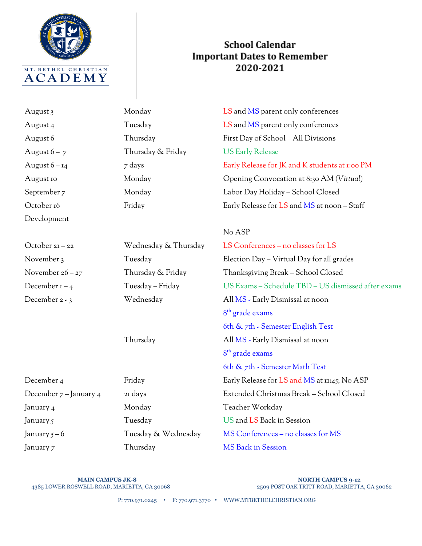

## **School Calendar Important Dates to Remember** 2020-2021

August 6 – 7 Thursday & Friday US Early Release Development

August 3 Monday Monday LS and MS parent only conferences August 4 Tuesday Tuesday LS and MS parent only conferences August 6 Thursday First Day of School – All Divisions August 6 – 14  $\frac{1}{7}$  days  $\frac{1}{7}$  days Early Release for JK and K students at 1:00 PM August 10 Monday Opening Convocation at 8:30 AM (*Virtual*) September 7 Monday Labor Day Holiday – School Closed October 16 Friday Friday Early Release for LS and MS at noon – Staff

## No ASP

| October 21 – 22        | Wednesday & Thursday | LS Conferences – no classes for LS                 |
|------------------------|----------------------|----------------------------------------------------|
| November 3             | Tuesday              | Election Day – Virtual Day for all grades          |
| November 26 – 27       | Thursday & Friday    | Thanksgiving Break – School Closed                 |
| December 1 – 4         | Tuesday – Friday     | US Exams - Schedule TBD - US dismissed after exams |
| December 2 - 3         | Wednesday            | All MS - Early Dismissal at noon                   |
|                        |                      | $8th$ grade exams                                  |
|                        |                      | 6th $\&$ 7th - Semester English Test               |
|                        | Thursday             | All MS - Early Dismissal at noon                   |
|                        |                      | $8th$ grade exams                                  |
|                        |                      | 6th & 7th - Semester Math Test                     |
| December 4             | Friday               | Early Release for LS and MS at 11:45; No ASP       |
| December 7 – January 4 | 21 days              | Extended Christmas Break - School Closed           |
| January 4              | Monday               | Teacher Workday                                    |
| January 5              | Tuesday              | US and LS Back in Session                          |
| January 5 – 6          | Tuesday & Wednesday  | MS Conferences - no classes for MS                 |
| Ianuary 7              | Thursdav             | MS Back in Session                                 |

**MAIN CAMPUS JK-8 NORTH CAMPUS MAIN CAMPUS JK-8 NORTH CAMPUS 9-12**<br>2509 POST OAK TRITT ROAD, MARIETTA ARRIETTA, GA 30068

2509 POST OAK TRITT ROAD, MARIETTA, GA 30062

P: 770.971.0245 • F: 770.971.3770 • WWW.MTBETHELCHRISTIAN.ORG